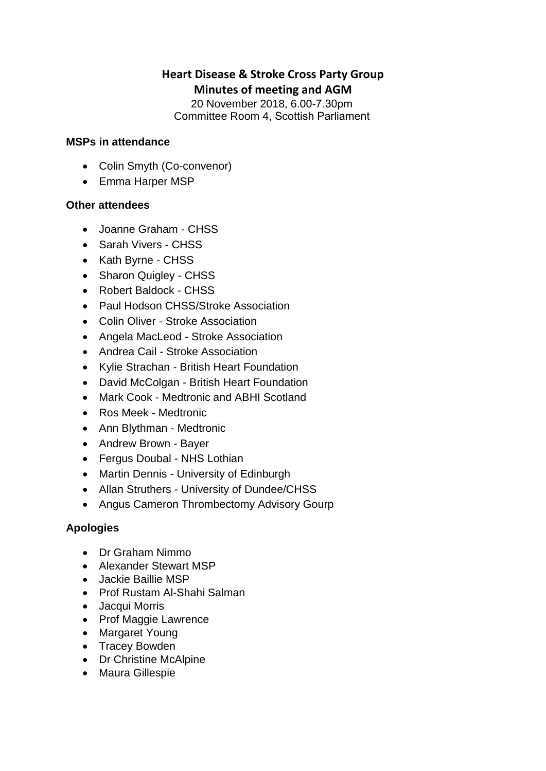# **Heart Disease & Stroke Cross Party Group Minutes of meeting and AGM**

20 November 2018, 6.00-7.30pm  Committee Room 4, Scottish Parliament 

#### **MSPs in attendance**

- Colin Smyth (Co-convenor)
- Emma Harper MSP

### **Other attendees**

- Joanne Graham CHSS
- Sarah Vivers CHSS
- Kath Byrne CHSS
- Sharon Quigley CHSS
- Robert Baldock CHSS
- Paul Hodson CHSS/Stroke Association
- Colin Oliver Stroke Association
- Angela MacLeod Stroke Association
- Andrea Cail Stroke Association
- Kylie Strachan British Heart Foundation
- David McColgan British Heart Foundation
- Mark Cook Medtronic and ABHI Scotland
- Ros Meek Medtronic
- Ann Blythman Medtronic
- Andrew Brown Bayer
- Fergus Doubal NHS Lothian
- Martin Dennis University of Edinburgh
- Allan Struthers University of Dundee/CHSS
- Angus Cameron Thrombectomy Advisory Gourp

### **Apologies**

- Dr Graham Nimmo
- Alexander Stewart MSP
- Jackie Baillie MSP
- Prof Rustam Al-Shahi Salman
- Jacqui Morris
- Prof Maggie Lawrence
- Margaret Young
- Tracey Bowden
- Dr Christine McAlpine
- Maura Gillespie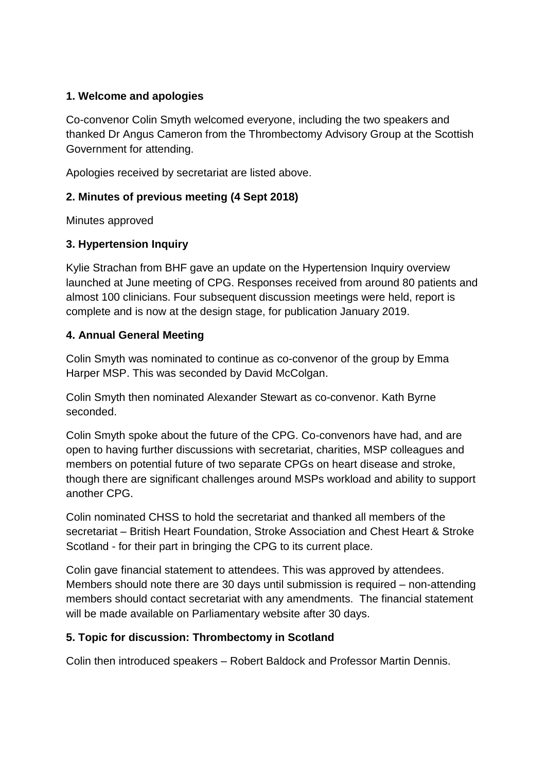### **1. Welcome and apologies**

Co-convenor Colin Smyth welcomed everyone, including the two speakers and thanked Dr Angus Cameron from the Thrombectomy Advisory Group at the Scottish Government for attending.

Apologies received by secretariat are listed above.

# **2. Minutes of previous meeting (4 Sept 2018)**

Minutes approved

### **3. Hypertension Inquiry**

Kylie Strachan from BHF gave an update on the Hypertension Inquiry overview launched at June meeting of CPG. Responses received from around 80 patients and almost 100 clinicians. Four subsequent discussion meetings were held, report is complete and is now at the design stage, for publication January 2019.

### **4. Annual General Meeting**

Colin Smyth was nominated to continue as co-convenor of the group by Emma Harper MSP. This was seconded by David McColgan.

Colin Smyth then nominated Alexander Stewart as co-convenor. Kath Byrne seconded.

Colin Smyth spoke about the future of the CPG. Co-convenors have had, and are open to having further discussions with secretariat, charities, MSP colleagues and members on potential future of two separate CPGs on heart disease and stroke, though there are significant challenges around MSPs workload and ability to support another CPG.

Colin nominated CHSS to hold the secretariat and thanked all members of the secretariat – British Heart Foundation, Stroke Association and Chest Heart & Stroke Scotland - for their part in bringing the CPG to its current place.

Colin gave financial statement to attendees. This was approved by attendees. Members should note there are 30 days until submission is required – non-attending members should contact secretariat with any amendments. The financial statement will be made available on Parliamentary website after 30 days.

# **5. Topic for discussion: Thrombectomy in Scotland**

Colin then introduced speakers – Robert Baldock and Professor Martin Dennis.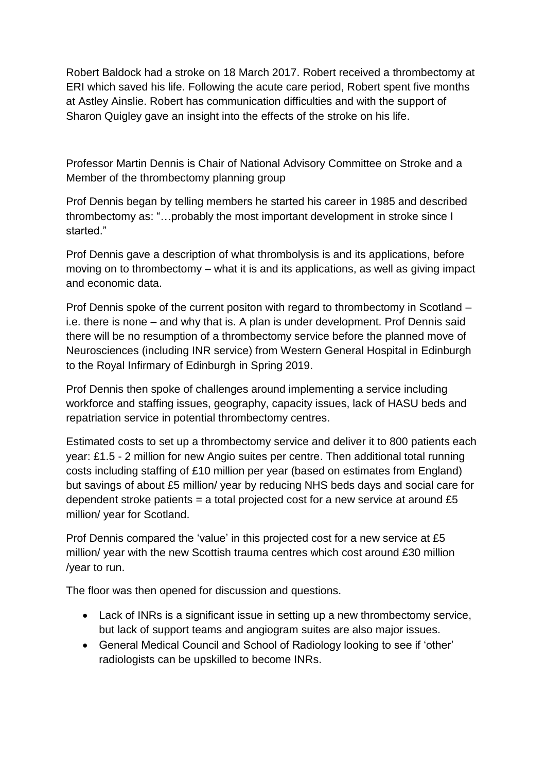Robert Baldock had a stroke on 18 March 2017. Robert received a thrombectomy at ERI which saved his life. Following the acute care period, Robert spent five months at Astley Ainslie. Robert has communication difficulties and with the support of Sharon Quigley gave an insight into the effects of the stroke on his life.

Professor Martin Dennis is Chair of National Advisory Committee on Stroke and a Member of the thrombectomy planning group

Prof Dennis began by telling members he started his career in 1985 and described thrombectomy as: "…probably the most important development in stroke since I started."

Prof Dennis gave a description of what thrombolysis is and its applications, before moving on to thrombectomy – what it is and its applications, as well as giving impact and economic data.

Prof Dennis spoke of the current positon with regard to thrombectomy in Scotland – i.e. there is none – and why that is. A plan is under development. Prof Dennis said there will be no resumption of a thrombectomy service before the planned move of Neurosciences (including INR service) from Western General Hospital in Edinburgh to the Royal Infirmary of Edinburgh in Spring 2019.

Prof Dennis then spoke of challenges around implementing a service including workforce and staffing issues, geography, capacity issues, lack of HASU beds and repatriation service in potential thrombectomy centres.

Estimated costs to set up a thrombectomy service and deliver it to 800 patients each year: £1.5 - 2 million for new Angio suites per centre. Then additional total running costs including staffing of £10 million per year (based on estimates from England) but savings of about £5 million/ year by reducing NHS beds days and social care for dependent stroke patients  $=$  a total projected cost for a new service at around £5 million/ year for Scotland.

Prof Dennis compared the 'value' in this projected cost for a new service at £5 million/ year with the new Scottish trauma centres which cost around £30 million /year to run.

The floor was then opened for discussion and questions.

- Lack of INRs is a significant issue in setting up a new thrombectomy service, but lack of support teams and angiogram suites are also major issues.
- General Medical Council and School of Radiology looking to see if 'other' radiologists can be upskilled to become INRs.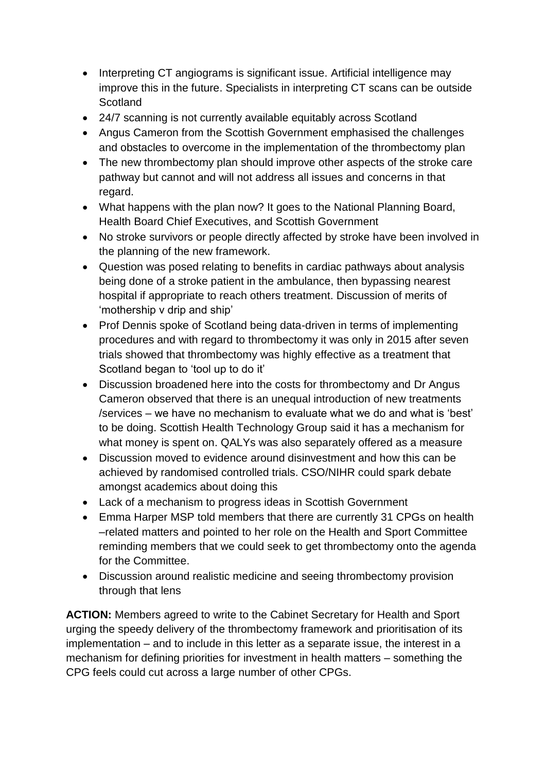- Interpreting CT angiograms is significant issue. Artificial intelligence may improve this in the future. Specialists in interpreting CT scans can be outside **Scotland**
- 24/7 scanning is not currently available equitably across Scotland
- Angus Cameron from the Scottish Government emphasised the challenges and obstacles to overcome in the implementation of the thrombectomy plan
- The new thrombectomy plan should improve other aspects of the stroke care pathway but cannot and will not address all issues and concerns in that regard.
- What happens with the plan now? It goes to the National Planning Board, Health Board Chief Executives, and Scottish Government
- No stroke survivors or people directly affected by stroke have been involved in the planning of the new framework.
- Question was posed relating to benefits in cardiac pathways about analysis being done of a stroke patient in the ambulance, then bypassing nearest hospital if appropriate to reach others treatment. Discussion of merits of 'mothership v drip and ship'
- Prof Dennis spoke of Scotland being data-driven in terms of implementing procedures and with regard to thrombectomy it was only in 2015 after seven trials showed that thrombectomy was highly effective as a treatment that Scotland began to 'tool up to do it'
- Discussion broadened here into the costs for thrombectomy and Dr Angus Cameron observed that there is an unequal introduction of new treatments /services – we have no mechanism to evaluate what we do and what is 'best' to be doing. Scottish Health Technology Group said it has a mechanism for what money is spent on. QALYs was also separately offered as a measure
- Discussion moved to evidence around disinvestment and how this can be achieved by randomised controlled trials. CSO/NIHR could spark debate amongst academics about doing this
- Lack of a mechanism to progress ideas in Scottish Government
- Emma Harper MSP told members that there are currently 31 CPGs on health –related matters and pointed to her role on the Health and Sport Committee reminding members that we could seek to get thrombectomy onto the agenda for the Committee.
- Discussion around realistic medicine and seeing thrombectomy provision through that lens

**ACTION:** Members agreed to write to the Cabinet Secretary for Health and Sport urging the speedy delivery of the thrombectomy framework and prioritisation of its implementation – and to include in this letter as a separate issue, the interest in a mechanism for defining priorities for investment in health matters – something the CPG feels could cut across a large number of other CPGs.